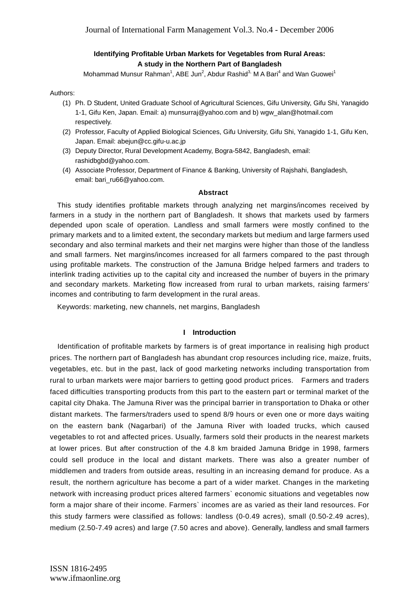# **Identifying Profitable Urban Markets for Vegetables from Rural Areas: A study in the Northern Part of Bangladesh**

Mohammad Munsur Rahman<sup>1</sup>, ABE Jun<sup>2</sup>, Abdur Rashid<sup>3,</sup> M A Bari<sup>4</sup> and Wan Guowei<sup>1</sup>

#### Authors:

- (1) Ph. D Student, United Graduate School of Agricultural Sciences, Gifu University, Gifu Shi, Yanagido 1-1, Gifu Ken, Japan. Email: a) munsurraj@yahoo.com and b) wgw\_alan@hotmail.com respectively.
- (2) Professor, Faculty of Applied Biological Sciences, Gifu University, Gifu Shi, Yanagido 1-1, Gifu Ken, Japan. Email: abejun@cc.gifu-u.ac.jp
- (3) Deputy Director, Rural Development Academy, Bogra-5842, Bangladesh, email: rashidbgbd@yahoo.com.
- (4) Associate Professor, Department of Finance & Banking, University of Rajshahi, Bangladesh, email: bari\_ru66@yahoo.com.

#### **Abstract**

This study identifies profitable markets through analyzing net margins/incomes received by farmers in a study in the northern part of Bangladesh. It shows that markets used by farmers depended upon scale of operation. Landless and small farmers were mostly confined to the primary markets and to a limited extent, the secondary markets but medium and large farmers used secondary and also terminal markets and their net margins were higher than those of the landless and small farmers. Net margins/incomes increased for all farmers compared to the past through using profitable markets. The construction of the Jamuna Bridge helped farmers and traders to interlink trading activities up to the capital city and increased the number of buyers in the primary and secondary markets. Marketing flow increased from rural to urban markets, raising farmers' incomes and contributing to farm development in the rural areas.

Keywords: marketing, new channels, net margins, Bangladesh

## **I Introduction**

Identification of profitable markets by farmers is of great importance in realising high product prices. The northern part of Bangladesh has abundant crop resources including rice, maize, fruits, vegetables, etc. but in the past, lack of good marketing networks including transportation from rural to urban markets were major barriers to getting good product prices. Farmers and traders faced difficulties transporting products from this part to the eastern part or terminal market of the capital city Dhaka. The Jamuna River was the principal barrier in transportation to Dhaka or other distant markets. The farmers/traders used to spend 8/9 hours or even one or more days waiting on the eastern bank (Nagarbari) of the Jamuna River with loaded trucks, which caused vegetables to rot and affected prices. Usually, farmers sold their products in the nearest markets at lower prices. But after construction of the 4.8 km braided Jamuna Bridge in 1998, farmers could sell produce in the local and distant markets. There was also a greater number of middlemen and traders from outside areas, resulting in an increasing demand for produce. As a result, the northern agriculture has become a part of a wider market. Changes in the marketing network with increasing product prices altered farmers` economic situations and vegetables now form a major share of their income. Farmers` incomes are as varied as their land resources. For this study farmers were classified as follows: landless (0-0.49 acres), small (0.50-2.49 acres), medium (2.50-7.49 acres) and large (7.50 acres and above). Generally, landless and small farmers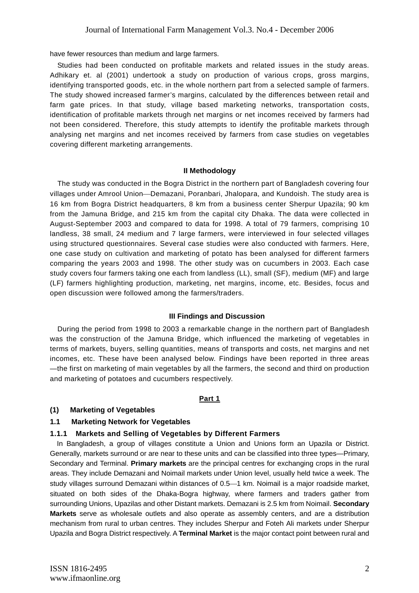have fewer resources than medium and large farmers.

Studies had been conducted on profitable markets and related issues in the study areas. Adhikary et. al (2001) undertook a study on production of various crops, gross margins, identifying transported goods, etc. in the whole northern part from a selected sample of farmers. The study showed increased farmer's margins, calculated by the differences between retail and farm gate prices. In that study, village based marketing networks, transportation costs, identification of profitable markets through net margins or net incomes received by farmers had not been considered. Therefore, this study attempts to identify the profitable markets through analysing net margins and net incomes received by farmers from case studies on vegetables covering different marketing arrangements.

#### **II Methodology**

The study was conducted in the Bogra District in the northern part of Bangladesh covering four villages under Amrool Union—Demazani, Poranbari, Jhalopara, and Kundoish. The study area is 16 km from Bogra District headquarters, 8 km from a business center Sherpur Upazila; 90 km from the Jamuna Bridge, and 215 km from the capital city Dhaka. The data were collected in August-September 2003 and compared to data for 1998. A total of 79 farmers, comprising 10 landless, 38 small, 24 medium and 7 large farmers, were interviewed in four selected villages using structured questionnaires. Several case studies were also conducted with farmers. Here, one case study on cultivation and marketing of potato has been analysed for different farmers comparing the years 2003 and 1998. The other study was on cucumbers in 2003. Each case study covers four farmers taking one each from landless (LL), small (SF), medium (MF) and large (LF) farmers highlighting production, marketing, net margins, income, etc. Besides, focus and open discussion were followed among the farmers/traders.

## **III Findings and Discussion**

During the period from 1998 to 2003 a remarkable change in the northern part of Bangladesh was the construction of the Jamuna Bridge, which influenced the marketing of vegetables in terms of markets, buyers, selling quantities, means of transports and costs, net margins and net incomes, etc. These have been analysed below. Findings have been reported in three areas —the first on marketing of main vegetables by all the farmers, the second and third on production and marketing of potatoes and cucumbers respectively.

#### **Part 1**

## **(1) Marketing of Vegetables**

## **1.1 Marketing Network for Vegetables**

## **1.1.1 Markets and Selling of Vegetables by Different Farmers**

In Bangladesh, a group of villages constitute a Union and Unions form an Upazila or District. Generally, markets surround or are near to these units and can be classified into three types—Primary, Secondary and Terminal. **Primary markets** are the principal centres for exchanging crops in the rural areas. They include Demazani and Noimail markets under Union level, usually held twice a week. The study villages surround Demazani within distances of 0.5—1 km. Noimail is a major roadside market, situated on both sides of the Dhaka-Bogra highway, where farmers and traders gather from surrounding Unions, Upazilas and other Distant markets. Demazani is 2.5 km from Noimail. **Secondary Markets** serve as wholesale outlets and also operate as assembly centers, and are a distribution mechanism from rural to urban centres. They includes Sherpur and Foteh Ali markets under Sherpur Upazila and Bogra District respectively. A **Terminal Market** is the major contact point between rural and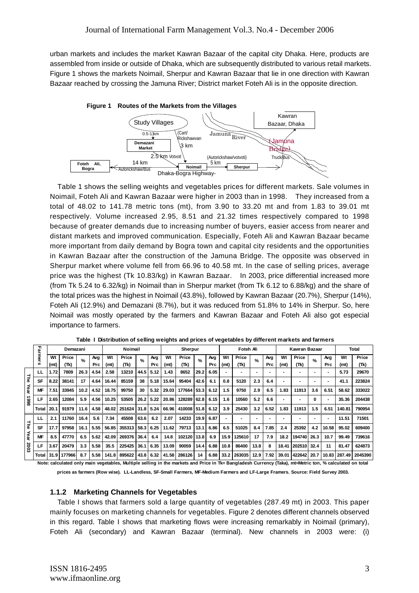urban markets and includes the market Kawran Bazaar of the capital city Dhaka. Here, products are assembled from inside or outside of Dhaka, which are subsequently distributed to various retail markets. Figure 1 shows the markets Noimail, Sherpur and Kawran Bazaar that lie in one direction with Kawran Bazaar reached by crossing the Jamuna River; District market Foteh Ali is in the opposite direction.



Table 1 shows the selling weights and vegetables prices for different markets. Sale volumes in Noimail, Foteh Ali and Kawran Bazaar were higher in 2003 than in 1998. They increased from a total of 48.02 to 141.78 metric tons (mt), from 3.90 to 33.20 mt and from 1.83 to 39.01 mt respectively. Volume increased 2.95, 8.51 and 21.32 times respectively compared to 1998 because of greater demands due to increasing number of buyers, easier access from nearer and distant markets and improved communication. Especially, Foteh Ali and Kawran Bazaar became more important from daily demand by Bogra town and capital city residents and the opportunities in Kawran Bazaar after the construction of the Jamuna Bridge. The opposite was observed in Sherpur market where volume fell from 66.96 to 40.58 mt. In the case of selling prices, average price was the highest (Tk 10.83/kg) in Kawran Bazaar. In 2003, price differential increased more (from Tk 5.24 to 6.32/kg) in Noimail than in Sherpur market (from Tk 6.12 to 6.88/kg) and the share of the total prices was the highest in Noimail (43.8%), followed by Kawran Bazaar (20.7%), Sherpur (14%), Foteh Ali (12.9%) and Demazani (8.7%), but it was reduced from 51.8% to 14% in Sherpur. So, here Noimail was mostly operated by the farmers and Kawran Bazaar and Foteh Ali also got especial importance to farmers.

|      | ᆩ            |      | Demazani |                   |      |       | Noimail     |               |            |       | Sherpur       |      |      |      | Foteh Ali |      |            |       | Kawran Bazaar |               |            |              | <b>Total</b> |
|------|--------------|------|----------|-------------------|------|-------|-------------|---------------|------------|-------|---------------|------|------|------|-----------|------|------------|-------|---------------|---------------|------------|--------------|--------------|
|      | armers       | Wt   | Price    | $\frac{9}{6}$     | Avg  | Wt    | Price       | $\frac{9}{6}$ | Avg        | Wt    | Price         | $\%$ | Avg  | Wt   | Price     | $\%$ | Avg        | Wt    | Price         | $\frac{9}{6}$ | Avg        | Wt           | Price        |
|      |              | (mt) | (Tk)     |                   | Prc  | (mt)  | (Tk)        |               | <b>Prc</b> | (mt)  | (Tk)          |      | Prc  | (mt) | (Tk)      |      | <b>Prc</b> | (mt)  | (Tk)          |               | <b>Prc</b> | (mt)         | (Tk)         |
|      | ш            | 1.72 | 7809     | 26.3              | 4.54 | 2.58  | 13210       | 44.5          | 5.12       | 1.43  | 8652          | 29.2 | 6.05 |      |           |      |            |       |               |               |            | 5.73         | 29670        |
| Fhe  | SF           | 8.22 | 38141    | 17                | 4.64 | 16.44 | 85159       | 38            | 5.18       | 15.64 | 95404         | 42.6 | 6.1  | 0.8  | 5120      | 2.3  | 6.4        |       |               |               |            | 41.1         | 223824       |
| Year | <b>MF</b>    | 7.51 | 33945    | 10.2 <sub>1</sub> | 4.52 | 18.75 | 99750       | 30            | 5.32       | 29.03 | 177664        | 53.3 | 6.12 | 1.5  | 9750      | 2.9  | 6.5        | 1.83  | 11913         | 3.6           | 6.51       | 58.62        | 333022       |
| 8661 | LF           | 2.65 | 12084    | 5.9               | 4.56 | 10.25 | 53505       | 26.2          | 5.22       | 20.86 | 128289        | 62.8 | 6.15 | 1.6  | 10560     | 5.2  | 6.6        |       |               | 0             |            | 35.36        | 204438       |
|      | <b>Total</b> | 20.1 | 91979    | 11.6              | 4.58 | 48.02 | 251624 31.8 |               | 5.24       | 66.96 | 410008 51.8   |      | 6.12 | 3.9  | 25430     | 3.2  | 6.52       | 1.83  | 11913         | 1.5           | 6.51       | 140.81       | 790954       |
|      | ш            | 2.1  | 11760    | 16.4              | 5.6  | 7.34  | 45508       | 63.6          | 6.2        | 2.07  | 14233         | 19.9 | 6.87 |      |           |      |            |       |               |               |            | 11.51        | 71501        |
| Ξ    | <b>SF</b>    | 17.7 | 97958    | 16.1              | 5.55 | 56.85 | 355313      | 58.3          | 6.25       | 11.62 | 79713         | 13.1 | 6.86 | 6.5  | 51025     | 8.4  | 7.85       | 2.4   | 25392         | 4.2           | 10.58      | 95.02        | 609400       |
| Year | <b>MF</b>    | 8.5  | 47770    | 6.5               | 5.62 | 42.09 | 269376      | 36.4          | 6.4        | 14.8  | 102120   13.8 |      | 6.9  | 15.9 | 125610    | 17   | 7.9        | 18.2  | 194740        | 26.3          | 10.7       | 99.49        | 739616       |
| 2003 | LF           | 3.67 | 20479    | 3.3               | 5.58 | 35.5  | 225425      | 36.1          | 6.35       | 13.09 | 90059         | 14.4 | 6.88 | 10.8 | 86400     | 13.8 |            | 18.41 | 202510 32.4   |               | 11         | 81.47        | 624873       |
|      | <b>Total</b> | 31.9 | 177966   | 8.7               | 5.58 | 141.8 | 895622      | 43.8          | 6.32       | 41.58 | 286126        | 14   | 6.88 | 33.2 | 263035    | 12.9 | 7.92       | 39.01 | 422642 20.7   |               |            | 10.83 287.49 | 2045390      |

 **Table I Distribution of selling weights and prices of vegetables by different markets and farmers**

**Note: calculated only main vegetables, Multiple selling in the markets and Price in Tk= Bangladesh Currency (Taka), mt=Metric ton, % calculated on total prices as farmers (Row wise). LL-Landless, SF-Small Farmers, MF-Medium Farmers and LF-Large Framers. Source: Field Survey 2003.**

## **1.1.2 Marketing Channels for Vegetables**

Table I shows that farmers sold a large quantity of vegetables (287.49 mt) in 2003. This paper mainly focuses on marketing channels for vegetables. Figure 2 denotes different channels observed in this regard. Table I shows that marketing flows were increasing remarkably in Noimail (primary), Foteh Ali (secondary) and Kawran Bazaar (terminal). New channels in 2003 were: (i)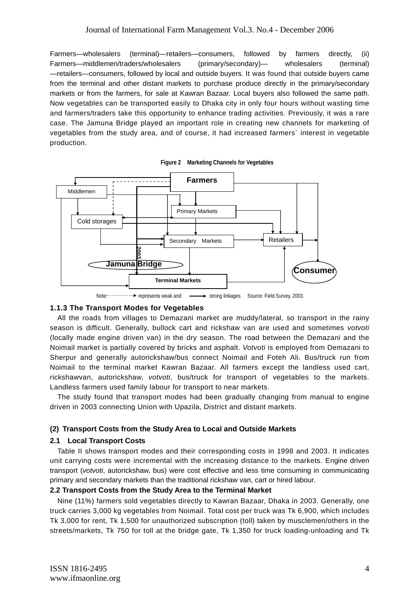Farmers—wholesalers (terminal)—retailers—consumers, followed by farmers directly, (ii) Farmers—middlemen/traders/wholesalers (primary/secondary)— wholesalers (terminal) —retailers—consumers, followed by local and outside buyers. It was found that outside buyers came from the terminal and other distant markets to purchase produce directly in the primary/secondary markets or from the farmers, for sale at Kawran Bazaar. Local buyers also followed the same path. Now vegetables can be transported easily to Dhaka city in only four hours without wasting time and farmers/traders take this opportunity to enhance trading activities. Previously, it was a rare case. The Jamuna Bridge played an important role in creating new channels for marketing of vegetables from the study area, and of course, it had increased farmers` interest in vegetable production.



**Figure 2 Marketing Channels for Vegetables** 

Note:  $\cdots$  represents weak and  $\longrightarrow$  strong linkages. Source: Field Survey, 2003.

# **1.1.3 The Transport Modes for Vegetables**

All the roads from villages to Demazani market are muddy/lateral, so transport in the rainy season is difficult. Generally, bullock cart and rickshaw van are used and sometimes *votvoti*  (locally made engine driven van) in the dry season. The road between the Demazani and the Noimail market is partially covered by bricks and asphalt. *Votvoti* is employed from Demazani to Sherpur and generally autorickshaw/bus connect Noimail and Foteh Ali. Bus/truck run from Noimail to the terminal market Kawran Bazaar. All farmers except the landless used cart, rickshawvan, autorickshaw, *votvoti*, bus/truck for transport of vegetables to the markets. Landless farmers used family labour for transport to near markets.

The study found that transport modes had been gradually changing from manual to engine driven in 2003 connecting Union with Upazila, District and distant markets.

# **(2) Transport Costs from the Study Area to Local and Outside Markets**

# **2.1 Local Transport Costs**

Table II shows transport modes and their corresponding costs in 1998 and 2003. It indicates unit carrying costs were incremental with the increasing distance to the markets. Engine driven transport (*votvoti*, autorickshaw, bus) were cost effective and less time consuming in communicating primary and secondary markets than the traditional rickshaw van, cart or hired labour.

# **2.2 Transport Costs from the Study Area to the Terminal Market**

Nine (11%) farmers sold vegetables directly to Kawran Bazaar, Dhaka in 2003. Generally, one truck carries 3,000 kg vegetables from Noimail. Total cost per truck was Tk 6,900, which includes Tk 3,000 for rent, Tk 1,500 for unauthorized subscription (toll) taken by musclemen/others in the streets/markets, Tk 750 for toll at the bridge gate, Tk 1,350 for truck loading-unloading and Tk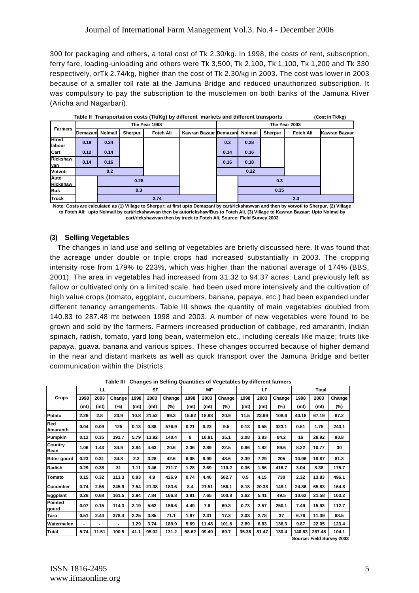300 for packaging and others, a total cost of Tk 2.30/kg. In 1998, the costs of rent, subscription, ferry fare, loading-unloading and others were Tk 3,500, Tk 2,100, Tk 1,100, Tk 1,200 and Tk 330 respectively, orTk 2.74/kg, higher than the cost of Tk 2.30/kg in 2003. The cost was lower in 2003 because of a smaller toll rate at the Jamuna Bridge and reduced unauthorized subscription. It was compulsory to pay the subscription to the musclemen on both banks of the Jamuna River (Aricha and Nagarbari).

|                        |          |                |         |               | Table II Transportation costs (Tk/Kg) by different markets and different transports |      |         |         |               | (Cost In Tk/kg) |
|------------------------|----------|----------------|---------|---------------|-------------------------------------------------------------------------------------|------|---------|---------|---------------|-----------------|
|                        |          |                |         | The Year 1998 |                                                                                     |      |         |         | The Year 2003 |                 |
| <b>Farmers</b>         | Demazani | <b>Noimail</b> | Sherpur | Foteh Ali     | Kawran Bazaar Demazani                                                              |      | Noimail | Sherpur | Foteh Ali     | Kawran Bazaar   |
| <b>Hired</b><br>labour | 0.18     | 0.24           |         |               |                                                                                     | 0.2  | 0.28    |         |               |                 |
| Cart                   | 0.12     | 0.14           |         |               |                                                                                     | 0.14 | 0.16    |         |               |                 |
| Rickshaw<br>van        | 0.14     | 0.16           |         |               |                                                                                     | 0.16 | 0.18    |         |               |                 |
| Votvoti                |          | 0.2            |         |               |                                                                                     |      | 0.22    |         |               |                 |
| Auto<br>Rickshaw       |          |                | 0.28    |               |                                                                                     |      |         | 0.3     |               |                 |
| <b>Bus</b>             |          |                | 0.3     |               |                                                                                     |      |         | 0.35    |               |                 |
| <b>Truck</b>           |          | 2.74           |         |               |                                                                                     |      |         |         | 2.3           |                 |

**Note: Costs are calculated as (1) Village to Sherpur: at first upto Demazani by cart/rickshawvan and then by votvoti to Sherpur, (2) Village to Foteh Ali: upto Noimail by cart/rickshawvan then by autorickshaw/Bus to Foteh Ali, (3) Village to Kawran Bazaar: Upto Noimal by cart/rickshawvan then by truck to Foteh Ali, Source: Field Survey 2003**

# **(3) Selling Vegetables**

The changes in land use and selling of vegetables are briefly discussed here. It was found that the acreage under double or triple crops had increased substantially in 2003. The cropping intensity rose from 179% to 223%, which was higher than the national average of 174% (BBS, 2001). The area in vegetables had increased from 31.32 to 94.37 acres. Land previously left as fallow or cultivated only on a limited scale, had been used more intensively and the cultivation of high value crops (tomato, eggplant, cucumbers, banana, papaya, etc.) had been expanded under different tenancy arrangements. Table III shows the quantity of main vegetables doubled from 140.83 to 287.48 mt between 1998 and 2003. A number of new vegetables were found to be grown and sold by the farmers. Farmers increased production of cabbage, red amaranth, Indian spinach, radish, tomato, yard long bean, watermelon etc., including cereals like maize; fruits like papaya, guava, banana and various spices. These changes occurred because of higher demand in the near and distant markets as well as quick transport over the Jamuna Bridge and better communication within the Districts.

|                               |      | LL    |        |      | <b>SF</b> |        |       | <b>MF</b> |        |       | LF    |        |        | Total  |                           |
|-------------------------------|------|-------|--------|------|-----------|--------|-------|-----------|--------|-------|-------|--------|--------|--------|---------------------------|
| Crops                         | 1998 | 2003  | Change | 1998 | 2003      | Change | 1998  | 2003      | Change | 1998  | 2003  | Change | 1998   | 2003   | Change                    |
|                               | (mt) | (mt)  | (%)    | (mt) | (mt)      | (%)    | (mt)  | (mt)      | (%)    | (mt)  | (mt)  | (%)    | (mt)   | (mt)   | $(\%)$                    |
| Potato                        | 2.26 | 2.8   | 23.9   | 10.8 | 21.52     | 99.3   | 15.62 | 18.88     | 20.9   | 11.5  | 23.99 | 108.6  | 40.18  | 67.19  | 67.2                      |
| Red<br>Amaranth               | 0.04 | 0.09  | 125    | 0.13 | 0.88      | 576.9  | 0.21  | 0.23      | 9.5    | 0.13  | 0.55  | 323.1  | 0.51   | 1.75   | 243.1                     |
| Pumpkin                       | 0.12 | 0.35  | 191.7  | 5.79 | 13.92     | 140.4  | 8     | 10.81     | 35.1   | 2.08  | 3.83  | 84.2   | 16     | 28.92  | 80.8                      |
| <b>Country</b><br><b>Bean</b> | 1.06 | 1.43  | 34.9   | 3.84 | 4.63      | 20.6   | 2.36  | 2.89      | 22.5   | 0.96  | 1.82  | 89.6   | 8.22   | 10.77  | 30                        |
| <b>Bitter gourd</b>           | 0.23 | 0.31  | 34.8   | 2.3  | 3.28      | 42.6   | 6.05  | 8.99      | 48.6   | 2.39  | 7.29  | 205    | 10.96  | 19.87  | 81.3                      |
| Radish                        | 0.29 | 0.38  | 31     | 1.11 | 3.46      | 211.7  | 1.28  | 2.69      | 110.2  | 0.36  | 1.86  | 416.7  | 3.04   | 8.38   | 175.7                     |
| Tomato                        | 0.15 | 0.32  | 113.3  | 0.93 | 4.9       | 426.9  | 0.74  | 4.46      | 502.7  | 0.5   | 4.15  | 730    | 2.32   | 13.83  | 496.1                     |
| Cucumber                      | 0.74 | 2.56  | 245.9  | 7.54 | 21.38     | 183.6  | 8.4   | 21.51     | 156.1  | 8.18  | 20.38 | 149.1  | 24.86  | 65.83  | 164.8                     |
| Eggplant                      | 0.26 | 0.68  | 161.5  | 2.94 | 7.84      | 166.8  | 3.81  | 7.65      | 100.8  | 3.62  | 5.41  | 49.5   | 10.62  | 21.58  | 103.2                     |
| Pointed<br>gourd              | 0.07 | 0.15  | 114.3  | 2.19 | 5.62      | 156.6  | 4.49  | 7.6       | 69.3   | 0.73  | 2.57  | 250.1  | 7.49   | 15.93  | 112.7                     |
| Taro                          | 0.51 | 2.44  | 378.4  | 2.25 | 3.85      | 71.1   | 1.97  | 2.31      | 17.3   | 2.03  | 2.78  | 37     | 6.76   | 11.39  | 68.5                      |
| Watermelon                    | ٠    | -     |        | 1.29 | 3.74      | 189.9  | 5.69  | 11.48     | 101.8  | 2.89  | 6.83  | 136.3  | 9.87   | 22.05  | 123.4                     |
| <b>Total</b>                  | 5.74 | 11.51 | 100.5  | 41.1 | 95.02     | 131.2  | 58.62 | 99.49     | 69.7   | 35.36 | 81.47 | 130.4  | 140.83 | 287.48 | 104.1                     |
|                               |      |       |        |      |           |        |       |           |        |       |       |        |        |        | Source: Field Survey 2003 |

**Table III Changes in Selling Quantities of Vegetables by different farmers**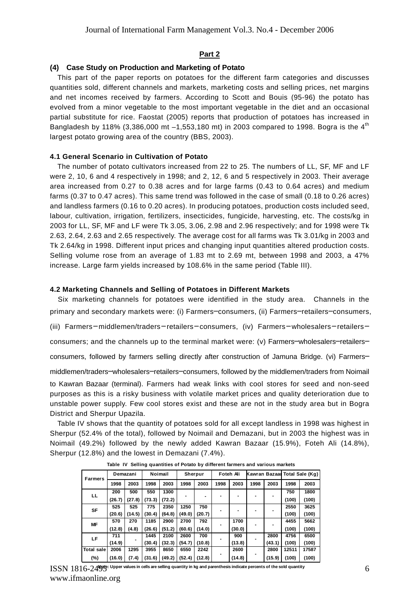#### **Part 2**

## **(4) Case Study on Production and Marketing of Potato**

This part of the paper reports on potatoes for the different farm categories and discusses quantities sold, different channels and markets, marketing costs and selling prices, net margins and net incomes received by farmers. According to Scott and Bouis (95-96) the potato has evolved from a minor vegetable to the most important vegetable in the diet and an occasional partial substitute for rice. Faostat (2005) reports that production of potatoes has increased in Bangladesh by 118% (3,386,000 mt  $-1,553,180$  mt) in 2003 compared to 1998. Bogra is the 4<sup>th</sup> largest potato growing area of the country (BBS, 2003).

## **4.1 General Scenario in Cultivation of Potato**

The number of potato cultivators increased from 22 to 25. The numbers of LL, SF, MF and LF were 2, 10, 6 and 4 respectively in 1998; and 2, 12, 6 and 5 respectively in 2003. Their average area increased from 0.27 to 0.38 acres and for large farms (0.43 to 0.64 acres) and medium farms (0.37 to 0.47 acres). This same trend was followed in the case of small (0.18 to 0.26 acres) and landless farmers (0.16 to 0.20 acres). In producing potatoes, production costs included seed, labour, cultivation, irrigation, fertilizers, insecticides, fungicide, harvesting, etc. The costs/kg in 2003 for LL, SF, MF and LF were Tk 3.05, 3.06, 2.98 and 2.96 respectively; and for 1998 were Tk 2.63, 2.64, 2.63 and 2.65 respectively. The average cost for all farms was Tk 3.01/kg in 2003 and Tk 2.64/kg in 1998. Different input prices and changing input quantities altered production costs. Selling volume rose from an average of 1.83 mt to 2.69 mt, between 1998 and 2003, a 47% increase. Large farm yields increased by 108.6% in the same period (Table III).

#### **4.2 Marketing Channels and Selling of Potatoes in Different Markets**

Six marketing channels for potatoes were identified in the study area. Channels in the primary and secondary markets were: (i) Farmers-consumers, (ii) Farmers-retailers-consumers, (iii) Farmers─ middlemen/traders─retailers─consumers, (iv) Farmers─wholesalers─retailers─ consumers; and the channels up to the terminal market were: (v) Farmers-wholesalers-retailersconsumers, followed by farmers selling directly after construction of Jamuna Bridge. (vi) Farmersmiddlemen/traders─wholesalers─retailers─consumers, followed by the middlemen/traders from Noimail to Kawran Bazaar (terminal). Farmers had weak links with cool stores for seed and non-seed purposes as this is a risky business with volatile market prices and quality deterioration due to unstable power supply. Few cool stores exist and these are not in the study area but in Bogra District and Sherpur Upazila.

Table IV shows that the quantity of potatoes sold for all except landless in 1998 was highest in Sherpur (52.4% of the total), followed by Noimail and Demazani, but in 2003 the highest was in Noimail (49.2%) followed by the newly added Kawran Bazaar (15.9%), Foteh Ali (14.8%), Sherpur (12.8%) and the lowest in Demazani (7.4%).

| Farmers    |        | Demazani | <b>Noimail</b> |        | Sherpur |        |      | Foteh Ai |      |        |       | Kawran Bazaal Total Sale (Kg) |
|------------|--------|----------|----------------|--------|---------|--------|------|----------|------|--------|-------|-------------------------------|
|            | 1998   | 2003     | 1998           | 2003   | 1998    | 2003   | 1998 | 2003     | 1998 | 2003   | 1998  | 2003                          |
| LL         | 200    | 500      | 550            | 1300   |         |        |      |          |      |        | 750   | 1800                          |
|            | (26.7) | (27.8)   | (73.3)         | (72.2) |         |        |      |          |      |        | (100) | (100)                         |
| SF         | 525    | 525      | 775            | 2350   | 1250    | 750    |      |          |      |        | 2550  | 3625                          |
|            | (20.6) | (14.5)   | (30.4)         | (64.8) | (49.0)  | (20.7) |      |          |      |        | (100) | (100)                         |
| МF         | 570    | 270      | 1185           | 2900   | 2700    | 792    |      | 1700     |      |        | 4455  | 5662                          |
|            | (12.8) | (4.8)    | (26.6)         | (51.2) | (60.6)  | (14.0) |      | (30.0)   |      |        | (100) | (100)                         |
| LF         | 711    |          | 1445           | 2100   | 2600    | 700    |      | 900      |      | 2800   | 4756  | 6500                          |
|            | (14.9) |          | (30.4)         | (32.3) | (54.7)  | (10.8) |      | (13.8)   |      | (43.1) | (100) | (100)                         |
| Total sale | 2006   | 1295     | 3955           | 8650   | 6550    | 2242   |      | 2600     |      | 2800   | 12511 | 17587                         |
| (%)        | (16.0) | (7.4)    | (31.6)         | (49.2) | (52.4)  | (12.8) |      | (14.8)   |      | (15.9) | (100) | (100)                         |

**Table IV Selling quantities of Potato by different farmers and various markets**

 $\mathrm{ISSN}\ 1816\text{-}24$ 95°. Upper values in cells are selling quantity in kg and parenthesis indicate percents of the sold quantity www.ifmaonline.org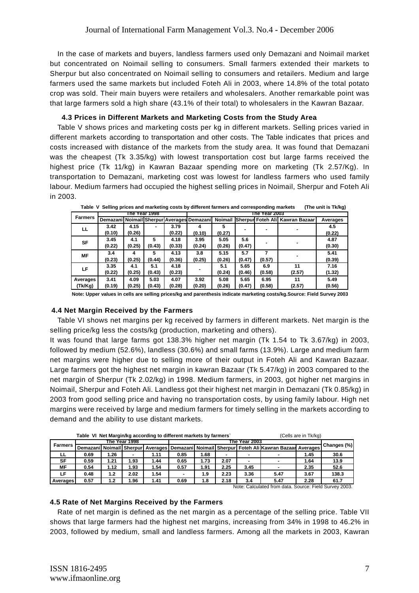In the case of markets and buyers, landless farmers used only Demazani and Noimail market but concentrated on Noimail selling to consumers. Small farmers extended their markets to Sherpur but also concentrated on Noimail selling to consumers and retailers. Medium and large farmers used the same markets but included Foteh Ali in 2003, where 14.8% of the total potato crop was sold. Their main buyers were retailers and wholesalers. Another remarkable point was that large farmers sold a high share (43.1% of their total) to wholesalers in the Kawran Bazaar.

## **4.3 Prices in Different Markets and Marketing Costs from the Study Area**

Table V shows prices and marketing costs per kg in different markets. Selling prices varied in different markets according to transportation and other costs. The Table indicates that prices and costs increased with distance of the markets from the study area. It was found that Demazani was the cheapest (Tk 3.35/kg) with lowest transportation cost but large farms received the highest price (Tk 11/kg) in Kawran Bazaar spending more on marketing (Tk 2.57/Kg). In transportation to Demazani, marketing cost was lowest for landless farmers who used family labour. Medium farmers had occupied the highest selling prices in Noimail, Sherpur and Foteh Ali in 2003.

|          | lable v<br>Sening prices and marketing costs by directificantlers and corresponding markets<br>(THE UNIL IS TIVING) |        |               |        |                                            |        |        |               |                                         |          |
|----------|---------------------------------------------------------------------------------------------------------------------|--------|---------------|--------|--------------------------------------------|--------|--------|---------------|-----------------------------------------|----------|
|          |                                                                                                                     |        | The Year 1998 |        |                                            |        |        | The Year 2003 |                                         |          |
| Farmers  |                                                                                                                     |        |               |        | Demazani Noimail Sherpur Averages Demazani |        |        |               | Noimail Sherpur Foteh Ali Kawran Bazaar | Averages |
| ᄔ        | 3.42                                                                                                                | 4.15   |               | 3.79   |                                            |        |        |               |                                         | 4.5      |
|          | (0.10)                                                                                                              | (0.26) |               | (0.22) | (0.10)                                     | (0.27) |        |               |                                         | (0.22)   |
| SF       | 3.45                                                                                                                | 4.1    | 5             | 4.18   | 3.95                                       | 5.05   | 5.6    |               |                                         | 4.87     |
|          | (0.22)                                                                                                              | (0.25) | (0.43)        | (0.33) | (0.24)                                     | (0.26) | (0.47) |               |                                         | (0.30)   |
| МF       | 3.4                                                                                                                 | 4      | 5             | 4.13   | 3.8                                        | 5.15   | 5.7    |               |                                         | 5.41     |
|          | (0.23)                                                                                                              | (0.25) | (0.44)        | (0.36) | (0.25)                                     | (0.26) | (0.47) | (0.57)        |                                         | (0.39)   |
| LF.      | 3.35                                                                                                                | 4.1    | 5.1           | 4.18   |                                            | 5.1    | 5.65   | 6.9           | 11                                      | 7.16     |
|          | (0.22)                                                                                                              | (0.25) | (0.43)        | (0.23) |                                            | (0.24) | (0.46) | (0.58)        | (2.57)                                  | (1.32)   |
| Averages | 3.41                                                                                                                | 4.09   | 5.03          | 4.07   | 3.92                                       | 5.08   | 5.65   | 6.95          | 11                                      | 5.49     |
| (Tk/Kg)  | (0.19)                                                                                                              | (0.25) | (0.43)        | (0.28) | (0.20)                                     | (0.26) | (0.47) | (0.58)        | (2.57)                                  | (0.56)   |

 **Table V Selling prices and marketing costs by different farmers and corresponding markets (The unit is Tk/kg)**

**Note: Upper values in cells are selling prices/kg and parenthesis indicate marketing costs/kg.Source: Field Survey 2003**

# **4.4 Net Margin Received by the Farmers**

Table VI shows net margins per kg received by farmers in different markets. Net margin is the selling price/kg less the costs/kg (production, marketing and others).

It was found that large farms got 138.3% higher net margin (Tk 1.54 to Tk 3.67/kg) in 2003, followed by medium (52.6%), landless (30.6%) and small farms (13.9%). Large and medium farm net margins were higher due to selling more of their output in Foteh Ali and Kawran Bazaar. Large farmers got the highest net margin in kawran Bazaar (Tk 5.47/kg) in 2003 compared to the net margin of Sherpur (Tk 2.02/kg) in 1998. Medium farmers, in 2003, got higher net margins in Noimail, Sherpur and Foteh Ali. Landless got their highest net margin in Demazani (Tk 0.85/kg) in 2003 from good selling price and having no transportation costs, by using family labour. High net margins were received by large and medium farmers for timely selling in the markets according to demand and the ability to use distant markets.

|                                                                                       |                                                        |      |               |      | Table VI Net Margin/kg according to different markets by farmers` |       |      |               |                                                                                                             | (Cells are in Tk/kg) |             |
|---------------------------------------------------------------------------------------|--------------------------------------------------------|------|---------------|------|-------------------------------------------------------------------|-------|------|---------------|-------------------------------------------------------------------------------------------------------------|----------------------|-------------|
|                                                                                       |                                                        |      | The Year 1998 |      |                                                                   |       |      | The Year 2003 |                                                                                                             |                      |             |
| <b>Farmers</b>                                                                        |                                                        |      |               |      |                                                                   |       |      |               | Demazani   Noimail   Sherpur   Averages   Demazani   Noimail   Sherpur   Foteh Ali   Kawran Bazaan Averages |                      | Changes (%) |
| LL                                                                                    | 1.26<br>. 68<br>0.69<br>0.85<br>1.45<br>1.11           |      |               |      |                                                                   |       |      |               |                                                                                                             | 30.6                 |             |
| SF                                                                                    | 0.59                                                   | 1.21 | 1.93          | 1.44 | 0.65                                                              | 1.73  | 2.07 |               |                                                                                                             | 1.64                 | 13.9        |
| МF                                                                                    | 0.54                                                   | 1.12 | 1.93          | 1.54 | 0.57                                                              | .91.، | 2.25 | 3.45          | $\blacksquare$                                                                                              | 2.35                 | 52.6        |
| LF                                                                                    | 0.48                                                   | 1.2  | 2.02          | 1.54 |                                                                   | 1.9   | 2.23 | 3.36          | 5.47                                                                                                        | 3.67                 | 138.3       |
| 0.57<br>1.96<br>2.18<br>2.28<br>0.69<br>5.47<br>1.41<br>1.8<br>1.2<br>3.4<br>Averages |                                                        |      |               |      |                                                                   |       |      |               | 61.7                                                                                                        |                      |             |
|                                                                                       | Note: Calculated from data. Source: Field Survey 2003. |      |               |      |                                                                   |       |      |               |                                                                                                             |                      |             |

# **4.5 Rate of Net Margins Received by the Farmers**

Rate of net margin is defined as the net margin as a percentage of the selling price. Table VII shows that large farmers had the highest net margins, increasing from 34% in 1998 to 46.2% in 2003, followed by medium, small and landless farmers. Among all the markets in 2003, Kawran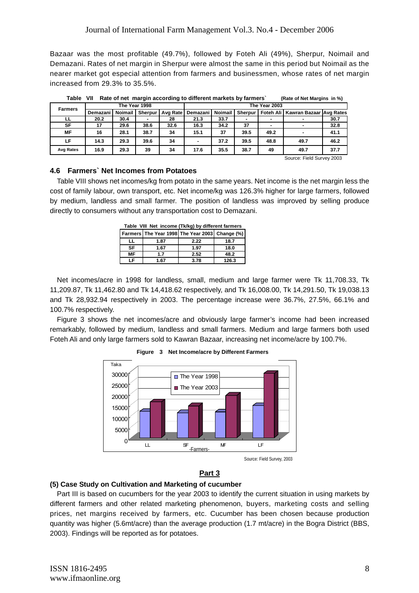Bazaar was the most profitable (49.7%), followed by Foteh Ali (49%), Sherpur, Noimail and Demazani. Rates of net margin in Sherpur were almost the same in this period but Noimail as the nearer market got especial attention from farmers and businessmen, whose rates of net margin increased from 29.3% to 35.5%.

|                |            |               |         |          |                    |      |         |               | . .                                 |      |
|----------------|------------|---------------|---------|----------|--------------------|------|---------|---------------|-------------------------------------|------|
| <b>Farmers</b> |            | The Year 1998 |         |          |                    |      |         | The Year 2003 |                                     |      |
|                | Demazani l | Noimail I     | Sherpur | Avg Rate | Demazani   Noimail |      | Sherpur |               | Foteh Ali   Kawran Bazaar Avg Rates |      |
| ᄔ              | 20.2       | 30.4          |         | 28       | 21.3               | 33.7 |         |               |                                     | 30.7 |
| SF             | 17         | 29.6          | 38.6    | 32.6     | 16.3               | 34.2 | 37      |               |                                     | 32.8 |
| <b>MF</b>      | 16         | 28.1          | 38.7    | 34       | 15.1               | 37   | 39.5    | 49.2          |                                     | 41.1 |
| LF             | 14.3       | 29.3          | 39.6    | 34       |                    | 37.2 | 39.5    | 48.8          | 49.7                                | 46.2 |
| Avg Rates      | 16.9       | 29.3          | 39      | 34       | 17.6               | 35.5 | 38.7    | 49            | 49.7                                | 37.7 |

 **Table VII Rate of net margin according to different markets by farmers` (Rate of Net Margins in %)**

# Source: Field Survey 2003

## **4.6 Farmers` Net Incomes from Potatoes**

Table VIII shows net incomes/kg from potato in the same years. Net income is the net margin less the cost of family labour, own transport, etc. Net income/kg was 126.3% higher for large farmers, followed by medium, landless and small farmer. The position of landless was improved by selling produce directly to consumers without any transportation cost to Demazani.

| Table VIII Net income (Tk/kg) by different farmers |      |                                                |       |  |  |  |  |  |  |  |
|----------------------------------------------------|------|------------------------------------------------|-------|--|--|--|--|--|--|--|
|                                                    |      | Farmers The Year 1998 The Year 2003 Change (%) |       |  |  |  |  |  |  |  |
| ᄔ                                                  | 1.87 | 2.22                                           | 18.7  |  |  |  |  |  |  |  |
| <b>SF</b>                                          | 1.67 | 1.97                                           | 18.0  |  |  |  |  |  |  |  |
| MF                                                 | 1.7  | 2.52                                           | 48.2  |  |  |  |  |  |  |  |
|                                                    | 1.67 | 3.78                                           | 126.3 |  |  |  |  |  |  |  |

Net incomes/acre in 1998 for landless, small, medium and large farmer were Tk 11,708.33, Tk 11,209.87, Tk 11,462.80 and Tk 14,418.62 respectively, and Tk 16,008.00, Tk 14,291.50, Tk 19,038.13 and Tk 28,932.94 respectively in 2003. The percentage increase were 36.7%, 27.5%, 66.1% and 100.7% respectively.

Figure 3 shows the net incomes/acre and obviously large farmer's income had been increased remarkably, followed by medium, landless and small farmers. Medium and large farmers both used Foteh Ali and only large farmers sold to Kawran Bazaar, increasing net income/acre by 100.7%.



**Figure 3 Net Income/acre by Different Farmers**

# **(5) Case Study on Cultivation and Marketing of cucumber**

Part III is based on cucumbers for the year 2003 to identify the current situation in using markets by different farmers and other related marketing phenomenon, buyers, marketing costs and selling prices, net margins received by farmers, etc. Cucumber has been chosen because production quantity was higher (5.6mt/acre) than the average production (1.7 mt/acre) in the Bogra District (BBS, 2003). Findings will be reported as for potatoes.

**Part 3**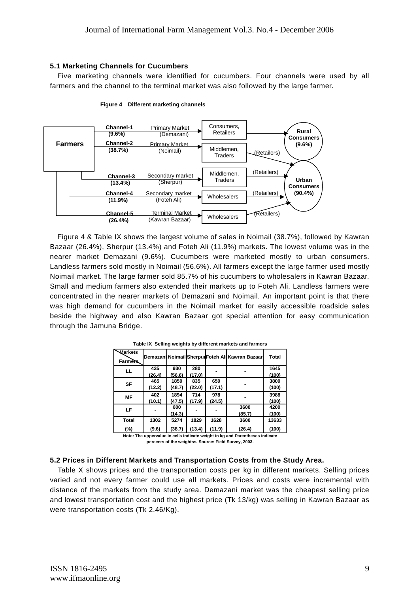## **5.1 Marketing Channels for Cucumbers**

Five marketing channels were identified for cucumbers. Four channels were used by all farmers and the channel to the terminal market was also followed by the large farmer.





Figure 4 & Table IX shows the largest volume of sales in Noimail (38.7%), followed by Kawran Bazaar (26.4%), Sherpur (13.4%) and Foteh Ali (11.9%) markets. The lowest volume was in the nearer market Demazani (9.6%). Cucumbers were marketed mostly to urban consumers. Landless farmers sold mostly in Noimail (56.6%). All farmers except the large farmer used mostly Noimail market. The large farmer sold 85.7% of his cucumbers to wholesalers in Kawran Bazaar. Small and medium farmers also extended their markets up to Foteh Ali. Landless farmers were concentrated in the nearer markets of Demazani and Noimail. An important point is that there was high demand for cucumbers in the Noimail market for easily accessible roadside sales beside the highway and also Kawran Bazaar got special attention for easy communication through the Jamuna Bridge.

| <b>Markets</b><br><b>Farmers</b> |        |        |        |        | Demazani Noimail Sherpur Foteh Ali Kawran Bazaar | <b>Total</b> |
|----------------------------------|--------|--------|--------|--------|--------------------------------------------------|--------------|
| LL                               | 435    | 930    | 280    |        |                                                  | 1645         |
|                                  | (26.4) | (56.6) | (17.0) |        |                                                  | (100)        |
| SF                               | 465    | 1850   | 835    | 650    |                                                  | 3800         |
|                                  | (12.2) | (48.7) | (22.0) | (17.1) |                                                  | (100)        |
| <b>MF</b>                        | 402    | 1894   | 714    | 978    |                                                  | 3988         |
|                                  | (10.1) | (47.5) | (17.9) | (24.5) |                                                  | (100)        |
| LF                               |        | 600    |        |        | 3600                                             | 4200         |
|                                  |        | (14.3) |        |        | (85.7)                                           | (100)        |
| <b>Total</b>                     | 1302   | 5274   | 1829   | 1628   | 3600                                             | 13633        |
| (%)                              | (9.6)  | (38.7) | (13.4) | (11.9) | (26.4)                                           | (100)        |

**Table IX Selling weights by different markets and farmers**

**Note: The uppervalue in cells indicate weight in kg and Parentheses indicate percents of the weightss. Source: Field Survey, 2003.**

## **5.2 Prices in Different Markets and Transportation Costs from the Study Area.**

Table X shows prices and the transportation costs per kg in different markets. Selling prices varied and not every farmer could use all markets. Prices and costs were incremental with distance of the markets from the study area. Demazani market was the cheapest selling price and lowest transportation cost and the highest price (Tk 13/kg) was selling in Kawran Bazaar as were transportation costs (Tk 2.46/Kg).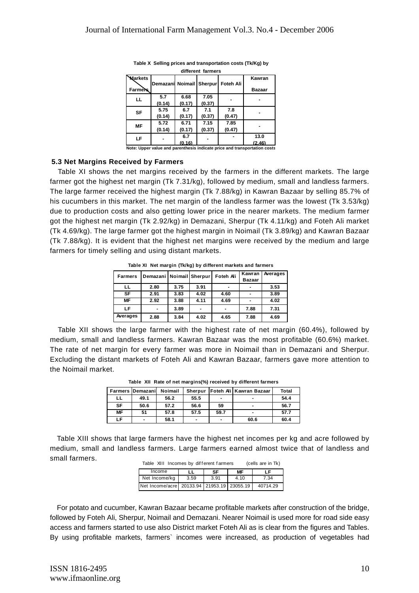|                                  |                          |                | umerent Tanners |                |                                                                           |
|----------------------------------|--------------------------|----------------|-----------------|----------------|---------------------------------------------------------------------------|
| <b>Warkets</b><br><b>Farmers</b> | Demazani Noimail Sherpur |                |                 | Foteh Ali      | Kawran<br><b>Bazaar</b>                                                   |
| ᄔ                                | 5.7<br>(0.14)            | 6.68<br>(0.17) | 7.05<br>(0.37)  |                |                                                                           |
| <b>SF</b>                        | 5.75<br>(0.14)           | 6.7<br>(0.17)  | 7.1<br>(0.37)   | 7.8<br>(0.47)  |                                                                           |
| <b>MF</b>                        | 5.72<br>(0.14)           | 6.71<br>(0.17) | 7.15<br>(0.37)  | 7.85<br>(0.47) |                                                                           |
| LF                               |                          | 6.7<br>(0.16)  |                 |                | 13.0<br>(2.46)                                                            |
|                                  |                          |                |                 |                | Note: Upper value and parenthesis indicate price and transportation costs |

**Table X Selling prices and transportation costs (Tk/Kg) by different farmers**

#### **5.3 Net Margins Received by Farmers**

Table XI shows the net margins received by the farmers in the different markets. The large farmer got the highest net margin (Tk 7.31/kg), followed by medium, small and landless farmers. The large farmer received the highest margin (Tk 7.88/kg) in Kawran Bazaar by selling 85.7% of his cucumbers in this market. The net margin of the landless farmer was the lowest (Tk 3.53/kg) due to production costs and also getting lower price in the nearer markets. The medium farmer got the highest net margin (Tk 2.92/kg) in Demazani, Sherpur (Tk 4.11/kg) and Foteh Ali market (Tk 4.69/kg). The large farmer got the highest margin in Noimail (Tk 3.89/kg) and Kawran Bazaar (Tk 7.88/kg). It is evident that the highest net margins were received by the medium and large farmers for timely selling and using distant markets.

| <b>Farmers</b> | Demazani   Noimail Sherpur |      |      | Foteh Ali | Kawran        | Averages |
|----------------|----------------------------|------|------|-----------|---------------|----------|
|                |                            |      |      |           | <b>Bazaar</b> |          |
| ᄔ              | 2.80                       | 3.75 | 3.91 |           |               | 3.53     |
| <b>SF</b>      | 2.91                       | 3.83 | 4.02 | 4.60      |               | 3.89     |
| MF             | 2.92                       | 3.88 | 4.11 | 4.69      |               | 4.02     |
| LF             |                            | 3.89 |      |           | 7.88          | 7.31     |
| Averages       | 2.88                       | 3.84 | 4.02 | 4.65      | 7.88          | 4.69     |

**Table XI Net margin (Tk/kg) by different markets and farmers**

Table XII shows the large farmer with the highest rate of net margin (60.4%), followed by medium, small and landless farmers. Kawran Bazaar was the most profitable (60.6%) market. The rate of net margin for every farmer was more in Noimail than in Demazani and Sherpur. Excluding the distant markets of Foteh Ali and Kawran Bazaar, farmers gave more attention to the Noimail market.

|           | <b>Farmers Demazanil</b> | Noimail |                |      | Sherpur   Foteh Ali Kawran Bazaar | Total |
|-----------|--------------------------|---------|----------------|------|-----------------------------------|-------|
| LL        | 49.1                     | 56.2    | 55.5           |      | $\blacksquare$                    | 54.4  |
| <b>SF</b> | 50.6                     | 57.2    | 56.6           | 59   | -                                 | 56.7  |
| МF        | 51                       | 57.8    | 57.5           | 59.7 | -                                 | 57.7  |
| LF        |                          | 58.1    | $\blacksquare$ |      | 60.6                              | 60.4  |

**Table XII Rate of net margins(%) received by different farmers**

Table XIII Incomes by dif f erent f armers (cells are in Tk) Table XIII shows that large farmers have the highest net incomes per kg and acre followed by medium, small and landless farmers. Large farmers earned almost twice that of landless and small farmers.

| Table All Incomes by uniterent railitiers<br>$[U$ ciis aic iii in) |      |      |      |          |
|--------------------------------------------------------------------|------|------|------|----------|
| Income                                                             |      | SF   | МF   | LF       |
| Net Income/ka                                                      | 3.59 | 3.91 | 4.10 | 7.34     |
| Net Income/acre 20133.94 21953.19 23055.19                         |      |      |      | 40714.29 |

For potato and cucumber, Kawran Bazaar became profitable markets after construction of the bridge, followed by Foteh Ali, Sherpur, Noimail and Demazani. Nearer Noimail is used more for road side easy access and farmers started to use also District market Foteh Ali as is clear from the figures and Tables. By using profitable markets, farmers` incomes were increased, as production of vegetables had